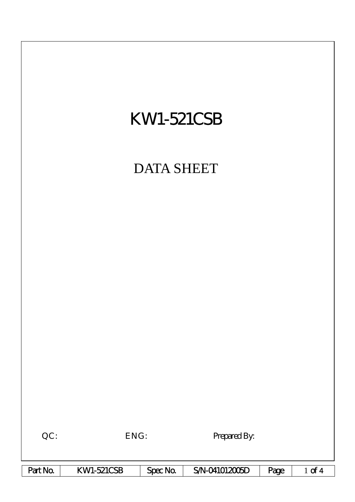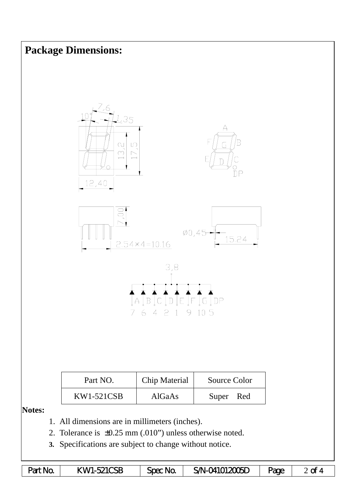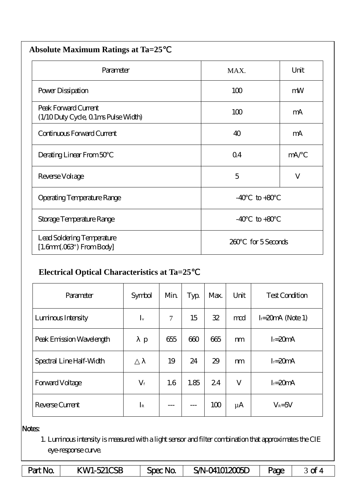| <b>Absolute Maximum Ratings at Ta=25</b>                           |                |               |  |  |  |  |  |
|--------------------------------------------------------------------|----------------|---------------|--|--|--|--|--|
| Parameter                                                          | MAX.           | Unit          |  |  |  |  |  |
| Power Dissipation                                                  | 100            | mW            |  |  |  |  |  |
| Peak Forward Current<br>(1/10 Duty Cycle, 0 1ms Pulse Width)       | 100            | mA            |  |  |  |  |  |
| Continuous Forward Current                                         | 40             | mA            |  |  |  |  |  |
| Derating Linear From 50                                            | Q <sub>4</sub> | mA/           |  |  |  |  |  |
| Reverse Voltage                                                    | 5              | V             |  |  |  |  |  |
| <b>Operating Temperature Range</b>                                 | $-40$          | $to +80$      |  |  |  |  |  |
| Storage Temperature Range                                          | $-40$          | $to +80$      |  |  |  |  |  |
| Lead Soldering Temperature<br>$[1.6mm.03$ <sup>"</sup> ) From Body | 200            | for 5 Seconds |  |  |  |  |  |

## **Electrical Optical Characteristics at Ta=25**℃

| Parameter                | Symbol      | Min    | Typ  | Max. | Unit    | <b>Test Condition</b> |  |
|--------------------------|-------------|--------|------|------|---------|-----------------------|--|
| Luninous Intensity       | $I_{v}$     | $\tau$ | 15   | 32   | mod     | $I = 20mA$ (Note 1)   |  |
| Peak Emission Wavelength | p           | 655    | 600  | 665  | m       | $I = 20mA$            |  |
| Spectral Line Half-Width |             | 19     | 24   | 29   | m       | $I = 20mA$            |  |
| Forward Voltage          | $V_{\rm f}$ | 1.6    | 1.85 | 24   | V       | $I = 20mA$            |  |
| Reverse Current          | $I_{R}$     |        |      | 100  | $\mu A$ | $V_R = 5V$            |  |

## Notes:

1. Luminous intensity is measured with a light sensor and filter combination that approximates the CIE eye-response curve.

| Part No | <b>KWI-521CSB</b> | Spec No. | <b>SA-04101200ED</b> | Page |  |
|---------|-------------------|----------|----------------------|------|--|
|---------|-------------------|----------|----------------------|------|--|